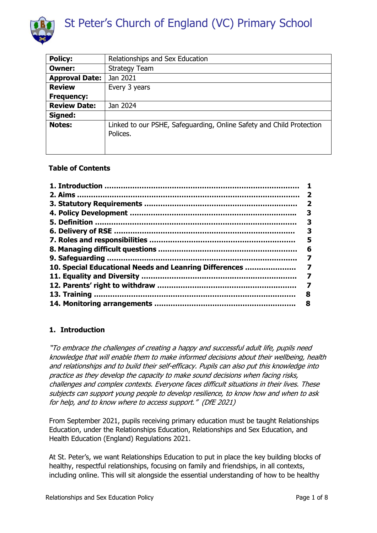

| <b>Policy:</b>        | Relationships and Sex Education                                                  |
|-----------------------|----------------------------------------------------------------------------------|
| <b>Owner:</b>         | <b>Strategy Team</b>                                                             |
| <b>Approval Date:</b> | Jan 2021                                                                         |
| <b>Review</b>         | Every 3 years                                                                    |
| <b>Frequency:</b>     |                                                                                  |
| <b>Review Date:</b>   | Jan 2024                                                                         |
| Signed:               |                                                                                  |
| <b>Notes:</b>         | Linked to our PSHE, Safeguarding, Online Safety and Child Protection<br>Polices. |

# **Table of Contents**

|                                                        | -2 |
|--------------------------------------------------------|----|
|                                                        | 2  |
|                                                        | З  |
|                                                        | 3  |
|                                                        | 3  |
|                                                        | 5  |
|                                                        | 6  |
|                                                        | 7  |
| 10. Special Educational Needs and Leanring Differences | 7  |
|                                                        |    |
|                                                        | 7  |
|                                                        | 8  |
|                                                        | 8  |

# <span id="page-0-0"></span>**1. Introduction**

"To embrace the challenges of creating a happy and successful adult life, pupils need knowledge that will enable them to make informed decisions about their wellbeing, health and relationships and to build their self-efficacy. Pupils can also put this knowledge into practice as they develop the capacity to make sound decisions when facing risks, challenges and complex contexts. Everyone faces difficult situations in their lives. These subjects can support young people to develop resilience, to know how and when to ask for help, and to know where to access support." (DfE 2021)

From September 2021, pupils receiving primary education must be taught Relationships Education, under the Relationships Education, Relationships and Sex Education, and Health Education (England) Regulations 2021.

At St. Peter's, we want Relationships Education to put in place the key building blocks of healthy, respectful relationships, focusing on family and friendships, in all contexts, including online. This will sit alongside the essential understanding of how to be healthy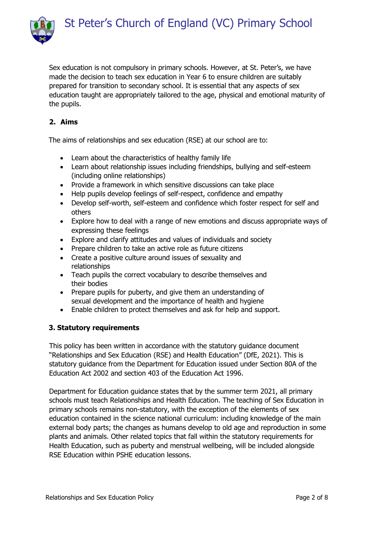



Sex education is not compulsory in primary schools. However, at St. Peter's, we have made the decision to teach sex education in Year 6 to ensure children are suitably prepared for transition to secondary school. It is essential that any aspects of sex education taught are appropriately tailored to the age, physical and emotional maturity of the pupils.

# **2. Aims**

The aims of relationships and sex education (RSE) at our school are to:

- Learn about the characteristics of healthy family life
- Learn about relationship issues including friendships, bullying and self-esteem (including online relationships)
- Provide a framework in which sensitive discussions can take place
- Help pupils develop feelings of self-respect, confidence and empathy
- Develop self-worth, self-esteem and confidence which foster respect for self and others
- Explore how to deal with a range of new emotions and discuss appropriate ways of expressing these feelings
- Explore and clarify attitudes and values of individuals and society
- Prepare children to take an active role as future citizens
- Create a positive culture around issues of sexuality and relationships
- Teach pupils the correct vocabulary to describe themselves and their bodies
- Prepare pupils for puberty, and give them an understanding of sexual development and the importance of health and hygiene
- Enable children to protect themselves and ask for help and support.

# **3. Statutory requirements**

This policy has been written in accordance with the statutory guidance document "Relationships and Sex Education (RSE) and Health Education" (DfE, 2021). This is statutory guidance from the Department for Education issued under Section 80A of the Education Act 2002 and section 403 of the Education Act 1996.

Department for Education guidance states that by the summer term 2021, all primary schools must teach Relationships and Health Education. The teaching of Sex Education in primary schools remains non-statutory, with the exception of the elements of sex education contained in the science national curriculum: including knowledge of the main external body parts; the changes as humans develop to old age and reproduction in some plants and animals. Other related topics that fall within the statutory requirements for Health Education, such as puberty and menstrual wellbeing, will be included alongside RSE Education within PSHE education lessons.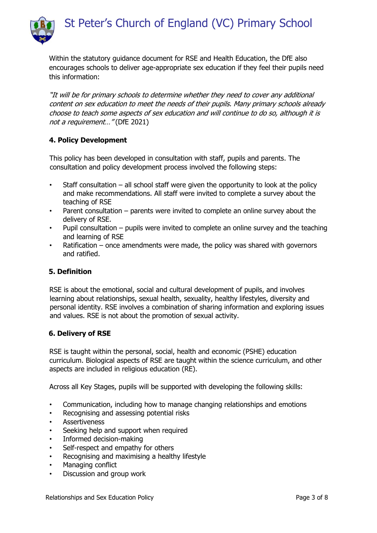

Within the statutory guidance document for RSE and Health Education, the DfE also encourages schools to deliver age-appropriate sex education if they feel their pupils need this information:

"It will be for primary schools to determine whether they need to cover any additional content on sex education to meet the needs of their pupils. Many primary schools already choose to teach some aspects of sex education and will continue to do so, although it is not a requirement..." (DfE 2021)

# <span id="page-2-0"></span>**4. Policy Development**

This policy has been developed in consultation with staff, pupils and parents. The consultation and policy development process involved the following steps:

- Staff consultation  $-$  all school staff were given the opportunity to look at the policy and make recommendations. All staff were invited to complete a survey about the teaching of RSE
- Parent consultation  $-$  parents were invited to complete an online survey about the delivery of RSE.
- Pupil consultation pupils were invited to complete an online survey and the teaching and learning of RSE
- Ratification once amendments were made, the policy was shared with governors and ratified.

# <span id="page-2-1"></span>**5. Definition**

RSE is about the emotional, social and cultural development of pupils, and involves learning about relationships, sexual health, sexuality, healthy lifestyles, diversity and personal identity. RSE involves a combination of sharing information and exploring issues and values. RSE is not about the promotion of sexual activity.

#### <span id="page-2-2"></span>**6. Delivery of RSE**

RSE is taught within the personal, social, health and economic (PSHE) education curriculum. Biological aspects of RSE are taught within the science curriculum, and other aspects are included in religious education (RE).

Across all Key Stages, pupils will be supported with developing the following skills:

- Communication, including how to manage changing relationships and emotions
- Recognising and assessing potential risks
- **Assertiveness**
- Seeking help and support when required
- Informed decision-making
- Self-respect and empathy for others
- Recognising and maximising a healthy lifestyle
- Managing conflict
- Discussion and group work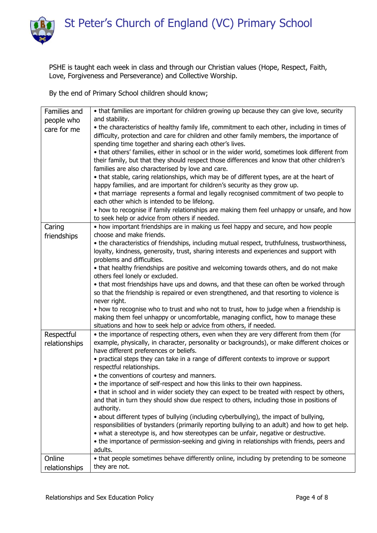St Peter's Church of England (VC) Primary School



PSHE is taught each week in class and through our Christian values (Hope, Respect, Faith, Love, Forgiveness and Perseverance) and Collective Worship.

By the end of Primary School children should know;

| Families and  | • that families are important for children growing up because they can give love, security                                                                                                    |
|---------------|-----------------------------------------------------------------------------------------------------------------------------------------------------------------------------------------------|
| people who    | and stability.                                                                                                                                                                                |
| care for me   | • the characteristics of healthy family life, commitment to each other, including in times of                                                                                                 |
|               | difficulty, protection and care for children and other family members, the importance of                                                                                                      |
|               | spending time together and sharing each other's lives.                                                                                                                                        |
|               | . that others' families, either in school or in the wider world, sometimes look different from<br>their family, but that they should respect those differences and know that other children's |
|               | families are also characterised by love and care.                                                                                                                                             |
|               | • that stable, caring relationships, which may be of different types, are at the heart of                                                                                                     |
|               | happy families, and are important for children's security as they grow up.                                                                                                                    |
|               | • that marriage represents a formal and legally recognised commitment of two people to                                                                                                        |
|               | each other which is intended to be lifelong.                                                                                                                                                  |
|               | • how to recognise if family relationships are making them feel unhappy or unsafe, and how                                                                                                    |
|               | to seek help or advice from others if needed.                                                                                                                                                 |
| Caring        | • how important friendships are in making us feel happy and secure, and how people                                                                                                            |
| friendships   | choose and make friends.                                                                                                                                                                      |
|               | • the characteristics of friendships, including mutual respect, truthfulness, trustworthiness,                                                                                                |
|               | loyalty, kindness, generosity, trust, sharing interests and experiences and support with<br>problems and difficulties.                                                                        |
|               | • that healthy friendships are positive and welcoming towards others, and do not make                                                                                                         |
|               | others feel lonely or excluded.                                                                                                                                                               |
|               | • that most friendships have ups and downs, and that these can often be worked through                                                                                                        |
|               | so that the friendship is repaired or even strengthened, and that resorting to violence is                                                                                                    |
|               | never right.                                                                                                                                                                                  |
|               | • how to recognise who to trust and who not to trust, how to judge when a friendship is                                                                                                       |
|               | making them feel unhappy or uncomfortable, managing conflict, how to manage these                                                                                                             |
|               | situations and how to seek help or advice from others, if needed.                                                                                                                             |
| Respectful    | • the importance of respecting others, even when they are very different from them (for                                                                                                       |
| relationships | example, physically, in character, personality or backgrounds), or make different choices or                                                                                                  |
|               | have different preferences or beliefs.                                                                                                                                                        |
|               | • practical steps they can take in a range of different contexts to improve or support<br>respectful relationships.                                                                           |
|               | • the conventions of courtesy and manners.                                                                                                                                                    |
|               | • the importance of self-respect and how this links to their own happiness.                                                                                                                   |
|               | • that in school and in wider society they can expect to be treated with respect by others,                                                                                                   |
|               | and that in turn they should show due respect to others, including those in positions of                                                                                                      |
|               | authority.                                                                                                                                                                                    |
|               | • about different types of bullying (including cyberbullying), the impact of bullying,                                                                                                        |
|               | responsibilities of bystanders (primarily reporting bullying to an adult) and how to get help.                                                                                                |
|               | • what a stereotype is, and how stereotypes can be unfair, negative or destructive.                                                                                                           |
|               | • the importance of permission-seeking and giving in relationships with friends, peers and                                                                                                    |
|               | adults.                                                                                                                                                                                       |
| Online        | • that people sometimes behave differently online, including by pretending to be someone                                                                                                      |
| relationships | they are not.                                                                                                                                                                                 |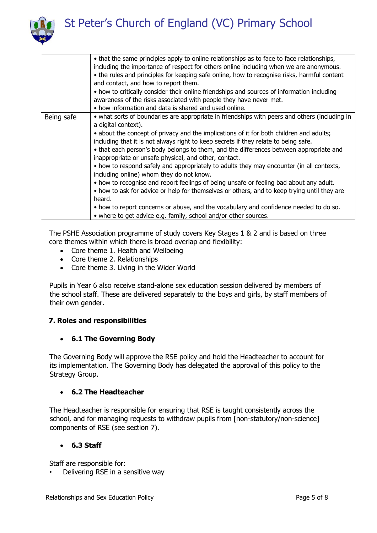St Peter's Church of England (VC) Primary School



|            | • that the same principles apply to online relationships as to face to face relationships,<br>including the importance of respect for others online including when we are anonymous.<br>• the rules and principles for keeping safe online, how to recognise risks, harmful content<br>and contact, and how to report them.<br>• how to critically consider their online friendships and sources of information including<br>awareness of the risks associated with people they have never met.<br>• how information and data is shared and used online.                                                                                                                                                                                                                                                                                                                                                                                                         |
|------------|------------------------------------------------------------------------------------------------------------------------------------------------------------------------------------------------------------------------------------------------------------------------------------------------------------------------------------------------------------------------------------------------------------------------------------------------------------------------------------------------------------------------------------------------------------------------------------------------------------------------------------------------------------------------------------------------------------------------------------------------------------------------------------------------------------------------------------------------------------------------------------------------------------------------------------------------------------------|
| Being safe | • what sorts of boundaries are appropriate in friendships with peers and others (including in<br>a digital context).<br>• about the concept of privacy and the implications of it for both children and adults;<br>including that it is not always right to keep secrets if they relate to being safe.<br>• that each person's body belongs to them, and the differences between appropriate and<br>inappropriate or unsafe physical, and other, contact.<br>• how to respond safely and appropriately to adults they may encounter (in all contexts,<br>including online) whom they do not know.<br>• how to recognise and report feelings of being unsafe or feeling bad about any adult.<br>• how to ask for advice or help for themselves or others, and to keep trying until they are<br>heard.<br>• how to report concerns or abuse, and the vocabulary and confidence needed to do so.<br>• where to get advice e.g. family, school and/or other sources. |

The PSHE Association programme of study covers Key Stages 1 & 2 and is based on three core themes within which there is broad overlap and flexibility:

- Core theme 1. Health and Wellbeing
- Core theme 2. Relationships
- Core theme 3. Living in the Wider World

Pupils in Year 6 also receive stand-alone sex education session delivered by members of the school staff. These are delivered separately to the boys and girls, by staff members of their own gender.

# <span id="page-4-0"></span>**7. Roles and responsibilities**

# **6.1 The Governing Body**

The Governing Body will approve the RSE policy and hold the Headteacher to account for its implementation. The Governing Body has delegated the approval of this policy to the Strategy Group.

# **6.2 The Headteacher**

The Headteacher is responsible for ensuring that RSE is taught consistently across the school, and for managing requests to withdraw pupils from [non-statutory/non-science] components of RSE (see section 7).

# **6.3 Staff**

Staff are responsible for:

• Delivering RSE in a sensitive way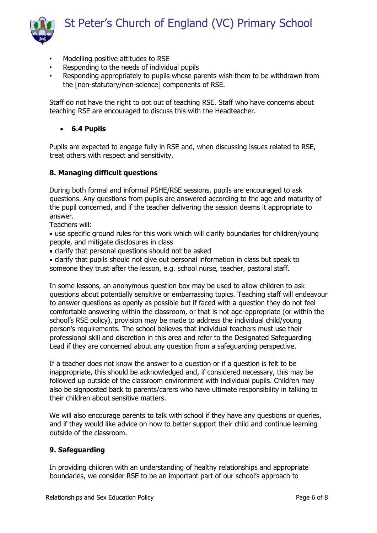

- Modelling positive attitudes to RSE
- Responding to the needs of individual pupils
- Responding appropriately to pupils whose parents wish them to be withdrawn from the [non-statutory/non-science] components of RSE.

Staff do not have the right to opt out of teaching RSE. Staff who have concerns about teaching RSE are encouraged to discuss this with the Headteacher.

#### **6.4 Pupils**

Pupils are expected to engage fully in RSE and, when discussing issues related to RSE, treat others with respect and sensitivity.

#### **8. Managing difficult questions**

During both formal and informal PSHE/RSE sessions, pupils are encouraged to ask questions. Any questions from pupils are answered according to the age and maturity of the pupil concerned, and if the teacher delivering the session deems it appropriate to answer.

Teachers will:

- use specific ground rules for this work which will clarify boundaries for children/young people, and mitigate disclosures in class
- clarify that personal questions should not be asked

 clarify that pupils should not give out personal information in class but speak to someone they trust after the lesson, e.g. school nurse, teacher, pastoral staff.

In some lessons, an anonymous question box may be used to allow children to ask questions about potentially sensitive or embarrassing topics. Teaching staff will endeavour to answer questions as openly as possible but if faced with a question they do not feel comfortable answering within the classroom, or that is not age-appropriate (or within the school's RSE policy), provision may be made to address the individual child/young person's requirements. The school believes that individual teachers must use their professional skill and discretion in this area and refer to the Designated Safeguarding Lead if they are concerned about any question from a safeguarding perspective.

If a teacher does not know the answer to a question or if a question is felt to be inappropriate, this should be acknowledged and, if considered necessary, this may be followed up outside of the classroom environment with individual pupils. Children may also be signposted back to parents/carers who have ultimate responsibility in talking to their children about sensitive matters.

We will also encourage parents to talk with school if they have any questions or queries, and if they would like advice on how to better support their child and continue learning outside of the classroom.

#### **9. Safeguarding**

In providing children with an understanding of healthy relationships and appropriate boundaries, we consider RSE to be an important part of our school's approach to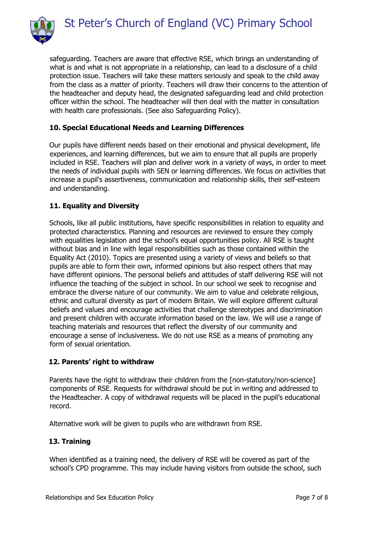

safeguarding. Teachers are aware that effective RSE, which brings an understanding of what is and what is not appropriate in a relationship, can lead to a disclosure of a child protection issue. Teachers will take these matters seriously and speak to the child away from the class as a matter of priority. Teachers will draw their concerns to the attention of the headteacher and deputy head, the designated safeguarding lead and child protection officer within the school. The headteacher will then deal with the matter in consultation with health care professionals. (See also Safeguarding Policy).

# **10. Special Educational Needs and Learning Differences**

Our pupils have different needs based on their emotional and physical development, life experiences, and learning differences, but we aim to ensure that all pupils are properly included in RSE. Teachers will plan and deliver work in a variety of ways, in order to meet the needs of individual pupils with SEN or learning differences. We focus on activities that increase a pupil's assertiveness, communication and relationship skills, their self-esteem and understanding.

# **11. Equality and Diversity**

Schools, like all public institutions, have specific responsibilities in relation to equality and protected characteristics. Planning and resources are reviewed to ensure they comply with equalities legislation and the school's equal opportunities policy. All RSE is taught without bias and in line with legal responsibilities such as those contained within the Equality Act (2010). Topics are presented using a variety of views and beliefs so that pupils are able to form their own, informed opinions but also respect others that may have different opinions. The personal beliefs and attitudes of staff delivering RSE will not influence the teaching of the subject in school. In our school we seek to recognise and embrace the diverse nature of our community. We aim to value and celebrate religious, ethnic and cultural diversity as part of modern Britain. We will explore different cultural beliefs and values and encourage activities that challenge stereotypes and discrimination and present children with accurate information based on the law. We will use a range of teaching materials and resources that reflect the diversity of our community and encourage a sense of inclusiveness. We do not use RSE as a means of promoting any form of sexual orientation.

# <span id="page-6-0"></span>**12. Parents' right to withdraw**

Parents have the right to withdraw their children from the [non-statutory/non-science] components of RSE. Requests for withdrawal should be put in writing and addressed to the Headteacher. A copy of withdrawal requests will be placed in the pupil's educational record.

Alternative work will be given to pupils who are withdrawn from RSE.

# <span id="page-6-1"></span>**13. Training**

When identified as a training need, the delivery of RSE will be covered as part of the school's CPD programme. This may include having visitors from outside the school, such